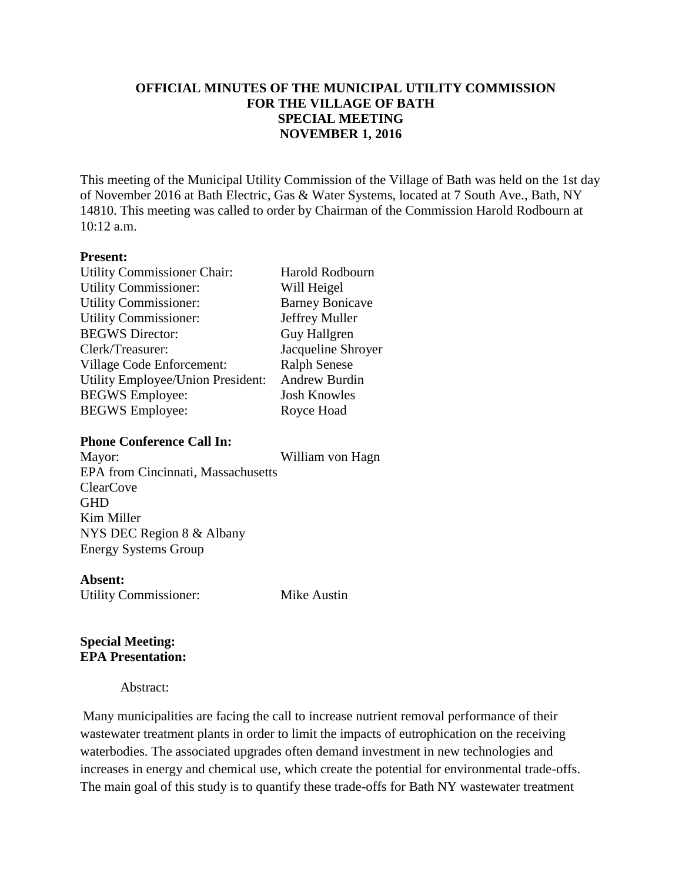# **OFFICIAL MINUTES OF THE MUNICIPAL UTILITY COMMISSION FOR THE VILLAGE OF BATH SPECIAL MEETING NOVEMBER 1, 2016**

This meeting of the Municipal Utility Commission of the Village of Bath was held on the 1st day of November 2016 at Bath Electric, Gas & Water Systems, located at 7 South Ave., Bath, NY 14810. This meeting was called to order by Chairman of the Commission Harold Rodbourn at 10:12 a.m.

### **Present:**

| <b>Utility Commissioner Chair:</b> | <b>Harold Rodbourn</b> |
|------------------------------------|------------------------|
| <b>Utility Commissioner:</b>       | Will Heigel            |
| <b>Utility Commissioner:</b>       | <b>Barney Bonicave</b> |
| <b>Utility Commissioner:</b>       | Jeffrey Muller         |
| <b>BEGWS</b> Director:             | <b>Guy Hallgren</b>    |
| Clerk/Treasurer:                   | Jacqueline Shroyer     |
| Village Code Enforcement:          | <b>Ralph Senese</b>    |
| Utility Employee/Union President:  | Andrew Burdin          |
| <b>BEGWS</b> Employee:             | <b>Josh Knowles</b>    |
| <b>BEGWS</b> Employee:             | Royce Hoad             |
|                                    |                        |

#### **Phone Conference Call In:**

Mayor: William von Hagn

EPA from Cincinnati, Massachusetts ClearCove **GHD** Kim Miller NYS DEC Region 8 & Albany Energy Systems Group

#### **Absent:**

Utility Commissioner: Mike Austin

# **Special Meeting: EPA Presentation:**

Abstract:

Many municipalities are facing the call to increase nutrient removal performance of their wastewater treatment plants in order to limit the impacts of eutrophication on the receiving waterbodies. The associated upgrades often demand investment in new technologies and increases in energy and chemical use, which create the potential for environmental trade-offs. The main goal of this study is to quantify these trade-offs for Bath NY wastewater treatment